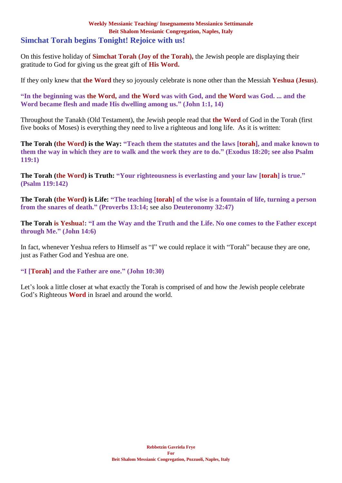### **Weekly Messianic Teaching/ Insegnamento Messianico Settimanale Beit Shalom Messianic Congregation, Naples, Italy Simchat Torah begins Tonight! Rejoice with us!**

On this festive holiday of **Simchat Torah (Joy of the Torah),** the Jewish people are displaying their gratitude to God for giving us the great gift of **His Word.**

If they only knew that **the Word** they so joyously celebrate is none other than the Messiah **Yeshua (Jesus)**.

**"In the beginning was the Word, and the Word was with God, and the Word was God. ... and the Word became flesh and made His dwelling among us." (John 1:1, 14)**

Throughout the Tanakh (Old Testament), the Jewish people read that **the Word** of God in the Torah (first five books of Moses) is everything they need to live a righteous and long life. As it is written:

**The Torah (the Word) is the Way: "Teach them the statutes and the laws [torah], and make known to them the way in which they are to walk and the work they are to do." (Exodus 18:20; see also Psalm 119:1)**

**The Torah (the Word) is Truth: "Your righteousness is everlasting and your law [torah] is true." (Psalm 119:142)**

**The Torah (the Word) is Life: "The teaching [torah] of the wise is a fountain of life, turning a person from the snares of death." (Proverbs 13:14;** see also **Deuteronomy 32:47)**

**The Torah is Yeshua!: "I am the Way and the Truth and the Life. No one comes to the Father except through Me." (John 14:6)**

In fact, whenever Yeshua refers to Himself as "I" we could replace it with "Torah" because they are one, just as Father God and Yeshua are one.

**"I [Torah] and the Father are one." (John 10:30)**

Let's look a little closer at what exactly the Torah is comprised of and how the Jewish people celebrate God's Righteous **Word** in Israel and around the world.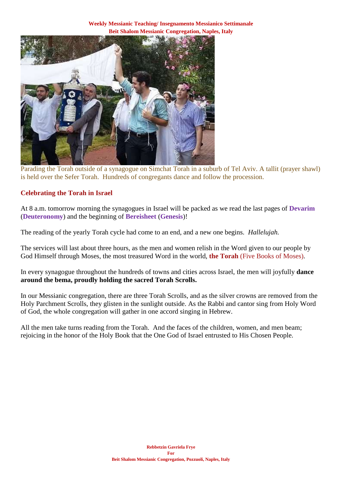**Weekly Messianic Teaching/ Insegnamento Messianico Settimanale Beit Shalom Messianic Congregation, Naples, Italy**



Parading the Torah outside of a synagogue on Simchat Torah in a suburb of Tel Aviv. A tallit (prayer shawl) is held over the Sefer Torah. Hundreds of congregants dance and follow the procession.

### **Celebrating the Torah in Israel**

At 8 a.m. tomorrow morning the synagogues in Israel will be packed as we read the last pages of **Devarim** (**Deuteronomy**) and the beginning of **Bereisheet** (**Genesis**)!

The reading of the yearly Torah cycle had come to an end, and a new one begins. *Hallelujah.*

The services will last about three hours, as the men and women relish in the Word given to our people by God Himself through Moses, the most treasured Word in the world, **the Torah** (Five Books of Moses).

In every synagogue throughout the hundreds of towns and cities across Israel, the men will joyfully **dance around the bema, proudly holding the sacred Torah Scrolls.**

In our Messianic congregation, there are three Torah Scrolls, and as the silver crowns are removed from the Holy Parchment Scrolls, they glisten in the sunlight outside. As the Rabbi and cantor sing from Holy Word of God, the whole congregation will gather in one accord singing in Hebrew.

All the men take turns reading from the Torah. And the faces of the children, women, and men beam; rejoicing in the honor of the Holy Book that the One God of Israel entrusted to His Chosen People.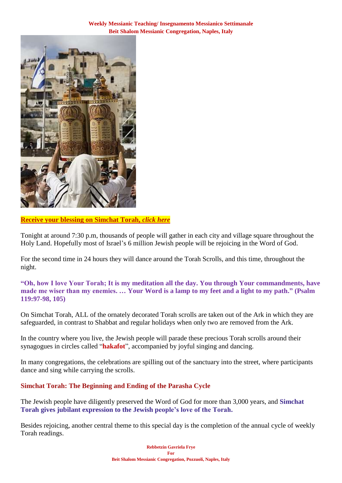

# **[Receive your blessing on Simchat Torah,](https://villageofhopejusticeministry.org/)** *click here*

Tonight at around 7:30 p.m, thousands of people will gather in each city and village square throughout the Holy Land. Hopefully most of Israel's 6 million Jewish people will be rejoicing in the Word of God.

For the second time in 24 hours they will dance around the Torah Scrolls, and this time, throughout the night.

**"Oh, how I love Your Torah; It is my meditation all the day. You through Your commandments, have made me wiser than my enemies. … Your Word is a lamp to my feet and a light to my path." (Psalm 119:97-98, 105)**

On Simchat Torah, ALL of the ornately decorated Torah scrolls are taken out of the Ark in which they are safeguarded, in contrast to Shabbat and regular holidays when only two are removed from the Ark.

In the country where you live, the Jewish people will parade these precious Torah scrolls around their synagogues in circles called "**hakafot**", accompanied by joyful singing and dancing.

In many congregations, the celebrations are spilling out of the sanctuary into the street, where participants dance and sing while carrying the scrolls.

# **Simchat Torah: The Beginning and Ending of the Parasha Cycle**

The Jewish people have diligently preserved the Word of God for more than 3,000 years, and **Simchat Torah gives jubilant expression to the Jewish people's love of the Torah.**

Besides rejoicing, another central theme to this special day is the completion of the annual cycle of weekly Torah readings.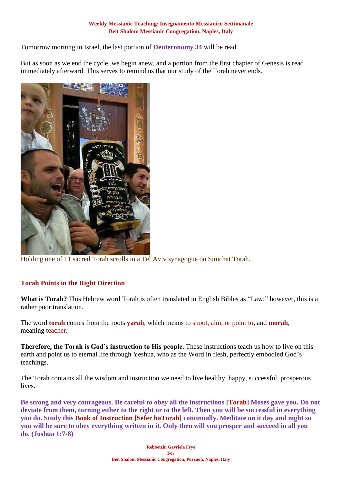Tomorrow morning in Israel, the last portion of **Deuteronomy 34** will be read.

But as soon as we end the cycle, we begin anew, and a portion from the first chapter of Genesis is read immediately afterward. This serves to remind us that our study of the Torah never ends.



Holding one of 11 sacred Torah scrolls in a Tel Aviv synagogue on Simchat Torah.

# **Torah Points in the Right Direction**

**What is Torah?** This Hebrew word Torah is often translated in English Bibles as "Law;" however, this is a rather poor translation.

The word **torah** comes from the roots **yarah**, which means to shoot, aim, or point to, and **morah**, meaning teacher.

**Therefore, the Torah is God's instruction to His people.** These instructions teach us how to live on this earth and point us to eternal life through Yeshua, who as the Word in flesh, perfectly embodied God's teachings.

The Torah contains all the wisdom and instruction we need to live healthy, happy, successful, prosperous lives.

**Be strong and very courageous. Be careful to obey all the instructions [Torah] Moses gave you. Do not deviate from them, turning either to the right or to the left. Then you will be successful in everything you do. Study this Book of Instruction [Sefer haTorah] continually. Meditate on it day and night so you will be sure to obey everything written in it. Only then will you prosper and succeed in all you do. (Joshua 1:7-8)**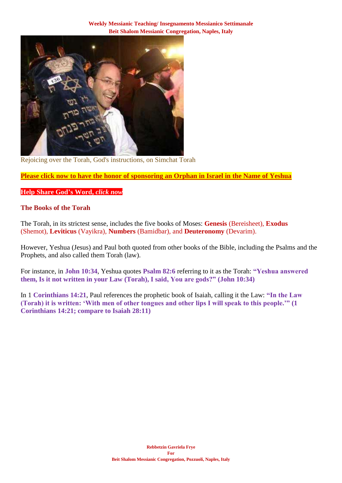

Rejoicing over the Torah, God's instructions, on Simchat Torah

**Please click now to have the honor [of sponsoring an Orphan in Israel in the Name of Yeshua](https://villageofhopejusticeministry.org/)** 

### **[Help Share God's Word,](https://villageofhopejusticeministry.org/)** *click now*

### **The Books of the Torah**

The Torah, in its strictest sense, includes the five books of Moses: **Genesis** (Bereisheet), **Exodus** (Shemot), **Leviticus** (Vayikra), **Numbers** (Bamidbar), and **Deuteronomy** (Devarim).

However, Yeshua (Jesus) and Paul both quoted from other books of the Bible, including the Psalms and the Prophets, and also called them Torah (law).

For instance, in **John 10:34**, Yeshua quotes **Psalm 82:6** referring to it as the Torah: **"Yeshua answered them, Is it not written in your Law (Torah), I said, You are gods?" (John 10:34)**

In 1 **Corinthians 14:21**, Paul references the prophetic book of Isaiah, calling it the Law: **"In the Law (Torah) it is written: 'With men of other tongues and other lips I will speak to this people.'" (1 Corinthians 14:21; compare to Isaiah 28:11)**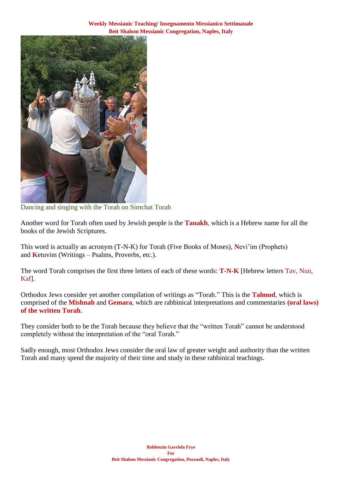

Dancing and singing with the Torah on Simchat Torah

Another word for Torah often used by Jewish people is the **Tanakh**, which is a Hebrew name for all the books of the Jewish Scriptures.

This word is actually an acronym (T-N-K) for Torah (Five Books of Moses), **N**evi'im (Prophets) and **K**etuvim (Writings – Psalms, Proverbs, etc.).

The word Torah comprises the first three letters of each of these words: **T-N-K** [Hebrew letters Tav, Nun, Kaf].

Orthodox Jews consider yet another compilation of writings as "Torah." This is the **Talmud**, which is comprised of the **Mishnah** and **Gemara**, which are rabbinical interpretations and commentaries **(oral laws) of the written Torah**.

They consider both to be the Torah because they believe that the "written Torah" cannot be understood completely without the interpretation of the "oral Torah."

Sadly enough, most Orthodox Jews consider the oral law of greater weight and authority than the written Torah and many spend the majority of their time and study in these rabbinical teachings.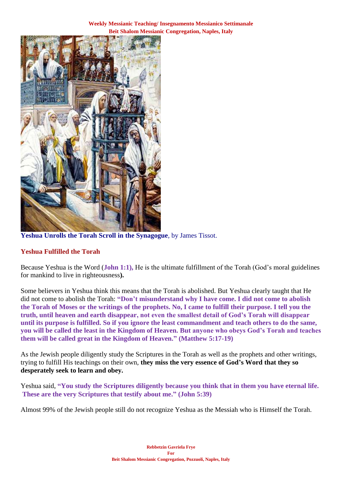**Weekly Messianic Teaching/ Insegnamento Messianico Settimanale Beit Shalom Messianic Congregation, Naples, Italy**



**Yeshua Unrolls the Torah Scroll in the Synagogue**, by James Tissot.

# **Yeshua Fulfilled the Torah**

Because Yeshua is the Word (**John 1:1),** He is the ultimate fulfillment of the Torah (God's moral guidelines for mankind to live in righteousness**).** 

Some believers in Yeshua think this means that the Torah is abolished. But Yeshua clearly taught that He did not come to abolish the Torah: **"Don't misunderstand why I have come. I did not come to abolish the Torah of Moses or the writings of the prophets. No, I came to fulfill their purpose. I tell you the truth, until heaven and earth disappear, not even the smallest detail of God's Torah will disappear until its purpose is fulfilled. So if you ignore the least commandment and teach others to do the same, you will be called the least in the Kingdom of Heaven. But anyone who obeys God's Torah and teaches them will be called great in the Kingdom of Heaven." (Matthew 5:17-19)**

As the Jewish people diligently study the Scriptures in the Torah as well as the prophets and other writings, trying to fulfill His teachings on their own, **they miss the very essence of God's Word that they so desperately seek to learn and obey.**

Yeshua said, **"You study the Scriptures diligently because you think that in them you have eternal life. These are the very Scriptures that testify about me." (John 5:39)**

Almost 99% of the Jewish people still do not recognize Yeshua as the Messiah who is Himself the Torah.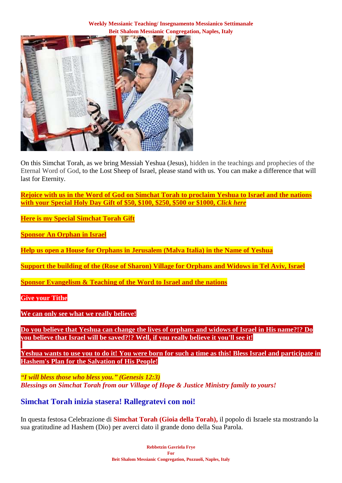

On this Simchat Torah, as we bring Messiah Yeshua (Jesus), hidden in the teachings and prophecies of the Eternal Word of God, to the Lost Sheep of Israel, please stand with us. You can make a difference that will last for Eternity.

**Rejoice with us in the Word of God on Simchat Torah to [proclaim Yeshua to Israel and the nations](https://villageofhopejusticeministry.org/)  [with your Special Holy Day Gift of \\$50, \\$100, \\$250, \\$500 or \\$1000,](https://villageofhopejusticeministry.org/)** *[Click here](https://villageofhopejusticeministry.org/)*

**Here is my Special [Simchat Torah](https://villageofhopejusticeministry.org/) Gift**

**[Sponsor An Orphan in Israel](https://villageofhopejusticeministry.org/)**

**[Help us open a House for Orphans in Jerusalem \(Malva Italia\) in the Name of Yeshua](https://villageofhopejusticeministry.org/)**

**Support the building of the (Rose of Sharon) [Village for Orphans and Widows in Tel Aviv, Israel](https://villageofhopejusticeministry.org/)**

**[Sponsor Evangelism & Teaching of the Word to Israel and the nations](https://villageofhopejusticeministry.org/)**

**[Give your Tithe](https://villageofhopejusticeministry.org/)**

**We can only see what we really believe!**

**Do you believe that Yeshua can change the lives of orphans and widows of Israel in His name?!? Do you believe that Israel will be saved?!? Well, if you really believe it you'll see it!**

**Yeshua wants to use you to do it! You were born for such a time as this! [Bless Israel](https://villageofhopejusticeministry.org/) and participate in Hashem's Plan for the Salvation of His People!**

*"I will bless those who bless you." (Genesis 12:3) Blessings on Simchat Torah from our Village of Hope & Justice Ministry family to yours!*

**Simchat Torah inizia stasera! Rallegratevi con noi!**

In questa festosa Celebrazione di **Simchat Torah (Gioia della Torah),** il popolo di Israele sta mostrando la sua gratitudine ad Hashem (Dio) per averci dato il grande dono della Sua Parola.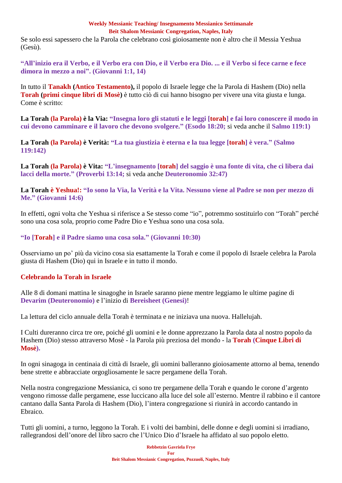Se solo essi sapessero che la Parola che celebrano così gioiosamente non è altro che il Messia Yeshua (Gesù).

**"All'inizio era il Verbo, e il Verbo era con Dio, e il Verbo era Dio. ... e il Verbo si fece carne e fece dimora in mezzo a noi". (Giovanni 1:1, 14)**

In tutto il **Tanakh (Antico Testamento),** il popolo di Israele legge che la Parola di Hashem (Dio) nella **Torah (primi cinque libri di Mosè)** è tutto ciò di cui hanno bisogno per vivere una vita giusta e lunga. Come è scritto:

**La Torah (la Parola) è la Via: "Insegna loro gli statuti e le leggi [torah] e fai loro conoscere il modo in cui devono camminare e il lavoro che devono svolgere." (Esodo 18:20;** si veda anche il **Salmo 119:1)**

**La Torah (la Parola) è Verità: "La tua giustizia è eterna e la tua legge [torah] è vera." (Salmo 119:142)**

**La Torah (la Parola) è Vita: "L'insegnamento [torah] del saggio è una fonte di vita, che ci libera dai lacci della morte." (Proverbi 13:14;** si veda anche **Deuteronomio 32:47)**

**La Torah è Yeshua!: "Io sono la Via, la Verità e la Vita. Nessuno viene al Padre se non per mezzo di Me." (Giovanni 14:6)**

In effetti, ogni volta che Yeshua si riferisce a Se stesso come "io", potremmo sostituirlo con "Torah" perché sono una cosa sola, proprio come Padre Dio e Yeshua sono una cosa sola.

# **"Io [Torah] e il Padre siamo una cosa sola." (Giovanni 10:30)**

Osserviamo un po' più da vicino cosa sia esattamente la Torah e come il popolo di Israele celebra la Parola giusta di Hashem (Dio) qui in Israele e in tutto il mondo.

# **Celebrando la Torah in Israele**

Alle 8 di domani mattina le sinagoghe in Israele saranno piene mentre leggiamo le ultime pagine di **Devarim (Deuteronomio)** e l'inizio di **Bereisheet (Genesi)**!

La lettura del ciclo annuale della Torah è terminata e ne iniziava una nuova. Hallelujah.

I Culti dureranno circa tre ore, poiché gli uomini e le donne apprezzano la Parola data al nostro popolo da Hashem (Dio) stesso attraverso Mosè - la Parola più preziosa del mondo - la **Torah (Cinque Libri di Mosè).**

In ogni sinagoga in centinaia di città di Israele, gli uomini balleranno gioiosamente attorno al bema, tenendo bene strette e abbracciate orgogliosamente le sacre pergamene della Torah.

Nella nostra congregazione Messianica, ci sono tre pergamene della Torah e quando le corone d'argento vengono rimosse dalle pergamene, esse luccicano alla luce del sole all'esterno. Mentre il rabbino e il cantore cantano dalla Santa Parola di Hashem (Dio), l'intera congregazione si riunirà in accordo cantando in Ebraico.

Tutti gli uomini, a turno, leggono la Torah. E i volti dei bambini, delle donne e degli uomini si irradiano, rallegrandosi dell'onore del libro sacro che l'Unico Dio d'Israele ha affidato al suo popolo eletto.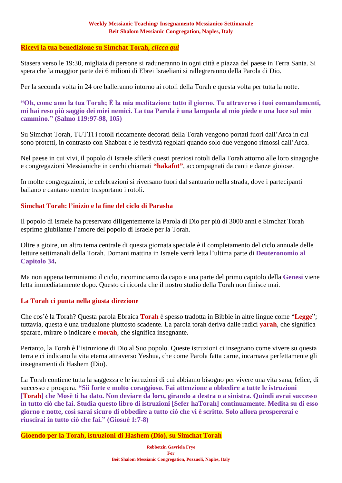### **[Ricevi la tua benedizione su Simchat Torah,](https://villageofhopejusticeministry.org/)** *clicca qui*

Stasera verso le 19:30, migliaia di persone si raduneranno in ogni città e piazza del paese in Terra Santa. Si spera che la maggior parte dei 6 milioni di Ebrei Israeliani si rallegreranno della Parola di Dio.

Per la seconda volta in 24 ore balleranno intorno ai rotoli della Torah e questa volta per tutta la notte.

**"Oh, come amo la tua Torah; È la mia meditazione tutto il giorno. Tu attraverso i tuoi comandamenti, mi hai reso più saggio dei miei nemici. La tua Parola è una lampada al mio piede e una luce sul mio cammino." (Salmo 119:97-98, 105)**

Su Simchat Torah, TUTTI i rotoli riccamente decorati della Torah vengono portati fuori dall'Arca in cui sono protetti, in contrasto con Shabbat e le festività regolari quando solo due vengono rimossi dall'Arca.

Nel paese in cui vivi, il popolo di Israele sfilerà questi preziosi rotoli della Torah attorno alle loro sinagoghe e congregazioni Messianiche in cerchi chiamati **"hakafot"**, accompagnati da canti e danze gioiose.

In molte congregazioni, le celebrazioni si riversano fuori dal santuario nella strada, dove i partecipanti ballano e cantano mentre trasportano i rotoli.

# **Simchat Torah: l'inizio e la fine del ciclo di Parasha**

Il popolo di Israele ha preservato diligentemente la Parola di Dio per più di 3000 anni e Simchat Torah esprime giubilante l'amore del popolo di Israele per la Torah.

Oltre a gioire, un altro tema centrale di questa giornata speciale è il completamento del ciclo annuale delle letture settimanali della Torah. Domani mattina in Israele verrà letta l'ultima parte di **Deuteronomio al Capitolo 34.**

Ma non appena terminiamo il ciclo, ricominciamo da capo e una parte del primo capitolo della **Genesi** viene letta immediatamente dopo. Questo ci ricorda che il nostro studio della Torah non finisce mai.

# **La Torah ci punta nella giusta direzione**

Che cos'è la Torah? Questa parola Ebraica **Torah** è spesso tradotta in Bibbie in altre lingue come "**Legge**"; tuttavia, questa è una traduzione piuttosto scadente. La parola torah deriva dalle radici **yarah**, che significa sparare, mirare o indicare e **morah**, che significa insegnante.

Pertanto, la Torah è l'istruzione di Dio al Suo popolo. Queste istruzioni ci insegnano come vivere su questa terra e ci indicano la vita eterna attraverso Yeshua, che come Parola fatta carne, incarnava perfettamente gli insegnamenti di Hashem (Dio).

La Torah contiene tutta la saggezza e le istruzioni di cui abbiamo bisogno per vivere una vita sana, felice, di successo e prospera. **"Sii forte e molto coraggioso. Fai attenzione a obbedire a tutte le istruzioni [Torah] che Mosè ti ha dato. Non deviare da loro, girando a destra o a sinistra. Quindi avrai successo in tutto ciò che fai. Studia questo libro di istruzioni [Sefer haTorah] continuamente. Medita su di esso giorno e notte, così sarai sicuro di obbedire a tutto ciò che vi è scritto. Solo allora prospererai e riuscirai in tutto ciò che fai." (Giosuè 1:7-8)**

**Gioendo per la Torah, istruzioni di Hashem (Dio), su Simchat Torah**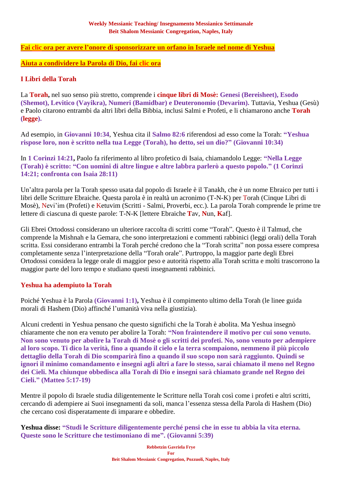### **Fai [clic](https://villageofhopejusticeministry.org/) ora per avere l'onore di sponsorizzare un orfano in Israele nel nome di Yeshua**

### **Aiuta a condividere la Parola di Dio, fai [clic](https://villageofhopejusticeministry.org/) ora**

### **I Libri della Torah**

La **Torah,** nel suo senso più stretto, comprende i **cinque libri di Mosè: Genesi (Bereisheet), Esodo (Shemot), Levitico (Vayikra), Numeri (Bamidbar) e Deuteronomio (Devarim).** Tuttavia, Yeshua (Gesù) e Paolo citarono entrambi da altri libri della Bibbia, inclusi Salmi e Profeti, e li chiamarono anche **Torah (legge).**

Ad esempio, in **Giovanni 10:34**, Yeshua cita il **Salmo 82:6** riferendosi ad esso come la Torah: **"Yeshua rispose loro, non è scritto nella tua Legge (Torah), ho detto, sei un dio?" (Giovanni 10:34)**

In **1 Corinzi 14:21,** Paolo fa riferimento al libro profetico di Isaia, chiamandolo Legge: **"Nella Legge (Torah) è scritto: "Con uomini di altre lingue e altre labbra parlerò a questo popolo." (1 Corinzi 14:21; confronta con Isaia 28:11)**

Un'altra parola per la Torah spesso usata dal popolo di Israele è il Tanakh, che è un nome Ebraico per tutti i libri delle Scritture Ebraiche. Questa parola è in realtà un acronimo (T-N-K) per Torah (Cinque Libri di Mosè), Nevi'im (Profeti) e Ketuvim (Scritti - Salmi, Proverbi, ecc.). La parola Torah comprende le prime tre lettere di ciascuna di queste parole: T-N-K [lettere Ebraiche **T**av, **N**un, **K**af].

Gli Ebrei Ortodossi considerano un ulteriore raccolta di scritti come "Torah". Questo è il Talmud, che comprende la Mishnah e la Gemara, che sono interpretazioni e commenti rabbinici (leggi orali) della Torah scritta. Essi considerano entrambi la Torah perché credono che la "Torah scritta" non possa essere compresa completamente senza l'interpretazione della "Torah orale". Purtroppo, la maggior parte degli Ebrei Ortodossi considera la legge orale di maggior peso e autorità rispetto alla Torah scritta e molti trascorrono la maggior parte del loro tempo e studiano questi insegnamenti rabbinici.

### **Yeshua ha adempiuto la Torah**

Poiché Yeshua è la Parola **(Giovanni 1:1),** Yeshua è il compimento ultimo della Torah (le linee guida morali di Hashem (Dio) affinché l'umanità viva nella giustizia).

Alcuni credenti in Yeshua pensano che questo significhi che la Torah è abolita. Ma Yeshua insegnò chiaramente che non era venuto per abolire la Torah: **"Non fraintendere il motivo per cui sono venuto. Non sono venuto per abolire la Torah di Mosè o gli scritti dei profeti. No, sono venuto per adempiere al loro scopo. Ti dico la verità, fino a quando il cielo e la terra scompaiono, nemmeno il più piccolo dettaglio della Torah di Dio scomparirà fino a quando il suo scopo non sarà raggiunto. Quindi se ignori il minimo comandamento e insegni agli altri a fare lo stesso, sarai chiamato il meno nel Regno dei Cieli. Ma chiunque obbedisca alla Torah di Dio e insegni sarà chiamato grande nel Regno dei Cieli." (Matteo 5:17-19)**

Mentre il popolo di Israele studia diligentemente le Scritture nella Torah così come i profeti e altri scritti, cercando di adempiere ai Suoi insegnamenti da soli, manca l'essenza stessa della Parola di Hashem (Dio) che cercano così disperatamente di imparare e obbedire.

**Yeshua disse: "Studi le Scritture diligentemente perché pensi che in esse tu abbia la vita eterna. Queste sono le Scritture che testimoniano di me". (Giovanni 5:39)**